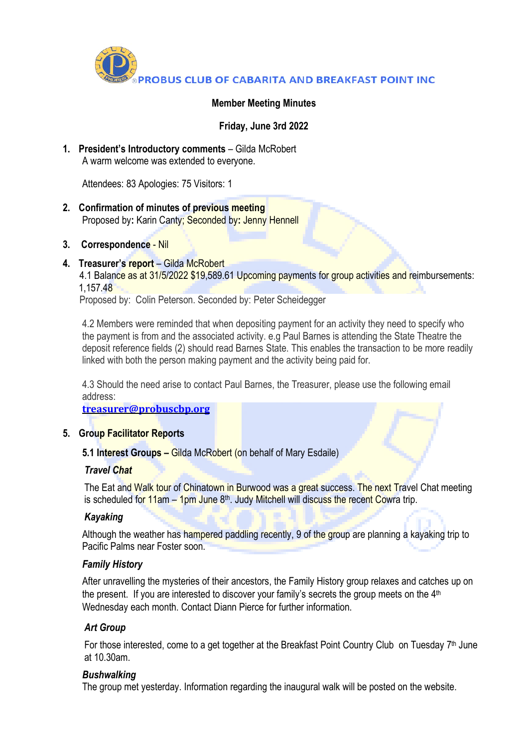

### **Member Meeting Minutes**

**Friday, June 3rd 2022**

**1. President's Introductory comments** – Gilda McRobert A warm welcome was extended to everyone.

Attendees: 83 Apologies: 75 Visitors: 1

- **2. Confirmation of minutes of previous meeting** Proposed by**:** Karin Canty; Seconded by**:** Jenny Hennell
- **3. Correspondence** Nil
- **4. Treasurer's report** Gilda McRobert

4.1 Balance as at 31/5/2022 \$19,589.61 Upcoming payments for group activities and reimbursements: 1,157.48

Proposed by: Colin Peterson. Seconded by: Peter Scheidegger

4.2 Members were reminded that when depositing payment for an activity they need to specify who the payment is from and the associated activity. e.g Paul Barnes is attending the State Theatre the deposit reference fields (2) should read Barnes State. This enables the transaction to be more readily linked with both the person making payment and the activity being paid for.

4.3 Should the need arise to contact Paul Barnes, the Treasurer, please use the following email address:

**[treasurer@probuscbp.org](mailto:treasurer@probuscbp.org)**

#### **5. Group Facilitator Reports**

**5.1 Interest Groups –** Gilda McRobert (on behalf of Mary Esdaile)

#### *Travel Chat*

The Eat and Walk tour of Chinatown in Burwood was a great success. The next Travel Chat meeting is scheduled for 11am – 1pm June 8<sup>th</sup>. Judy Mitchell will discuss the recent Cowra trip.

## *Kayaking*

Although the weather has hampered paddling recently, 9 of the group are planning a kayaking trip to Pacific Palms near Foster soon.

## *Family History*

After unravelling the mysteries of their ancestors, the Family History group relaxes and catches up on the present. If you are interested to discover your family's secrets the group meets on the 4<sup>th</sup> Wednesday each month. Contact Diann Pierce for further information.

## *Art Group*

For those interested, come to a get together at the Breakfast Point Country Club on Tuesday 7<sup>th</sup> June at 10.30am.

#### *Bushwalking*

The group met yesterday. Information regarding the inaugural walk will be posted on the website.